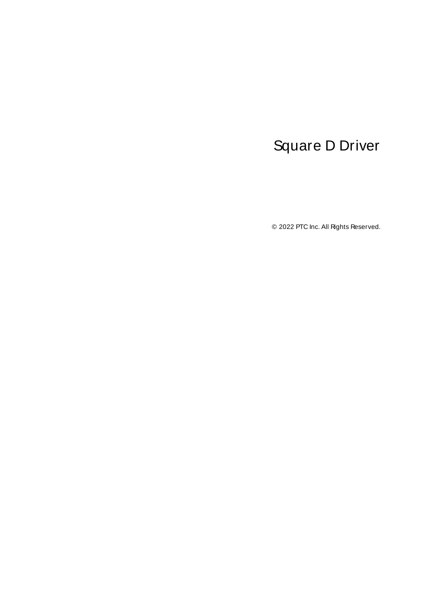# <span id="page-0-0"></span>Square D Driver

© 2022 PTC Inc. All Rights Reserved.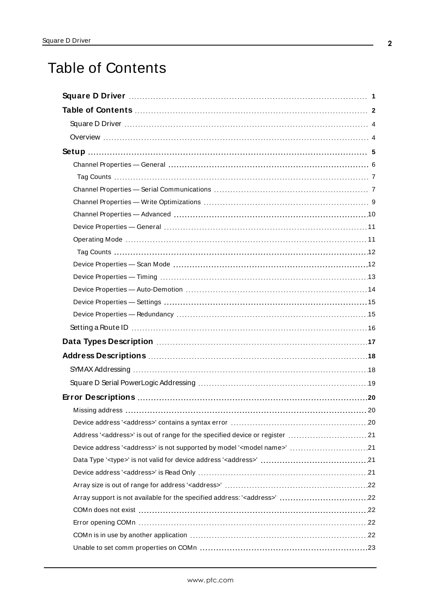# <span id="page-1-0"></span>Table of Contents

| Address' <address>' is out of range for the specified device or register  21</address>       |
|----------------------------------------------------------------------------------------------|
| Device address ' <address>' is not supported by model '<model name="">' 21</model></address> |
|                                                                                              |
|                                                                                              |
|                                                                                              |
|                                                                                              |
|                                                                                              |
|                                                                                              |
|                                                                                              |
|                                                                                              |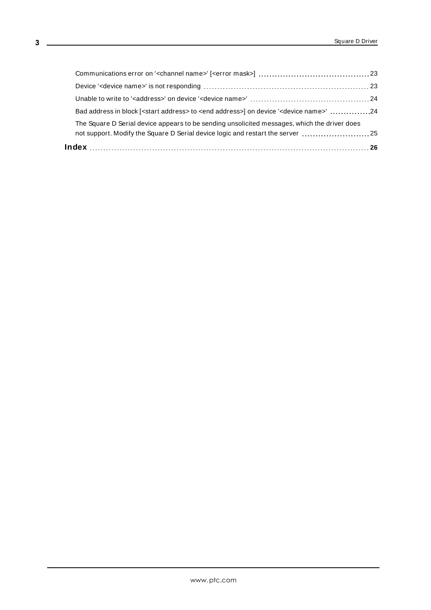| The Square D Serial device appears to be sending unsolicited messages, which the driver does<br>not support. Modify the Square D Serial device logic and restart the server 25 |  |
|--------------------------------------------------------------------------------------------------------------------------------------------------------------------------------|--|
| Bad address in block [ <start address=""> to <end address="">] on device '<device name="">' 24</device></end></start>                                                          |  |
|                                                                                                                                                                                |  |
|                                                                                                                                                                                |  |
|                                                                                                                                                                                |  |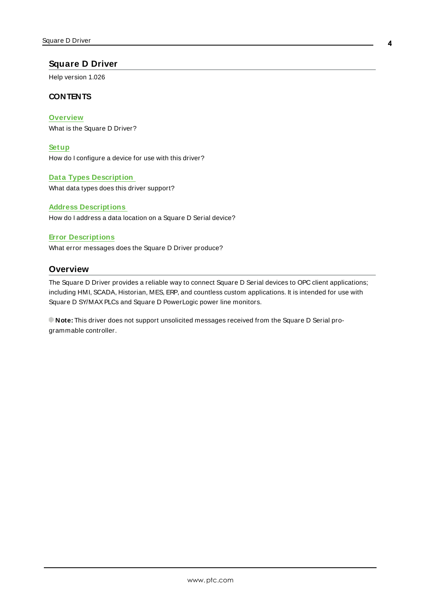# <span id="page-3-0"></span>**Square D Driver**

Help version 1.026

### **CONTENTS**

**[Overview](#page-3-1)** What is the Square D Driver?

**[Setup](#page-4-0)**

How do I configure a device for use with this driver?

### **Data Types [Description](#page-16-0)**

What data types does this driver support?

### **Address [Descriptions](#page-17-0)**

How do I address a data location on a Square D Serial device?

### **Error [Descriptions](#page-19-0)**

<span id="page-3-1"></span>What error messages does the Square D Driver produce?

# **Overview**

The Square D Driver provides a reliable way to connect Square D Serial devices to OPC client applications; including HMI, SCADA, Historian, MES, ERP, and countless custom applications. It is intended for use with Square D SY/MAXPLCs and Square D PowerLogic power line monitors.

**Note:** This driver does not support unsolicited messages received from the Square D Serial programmable controller.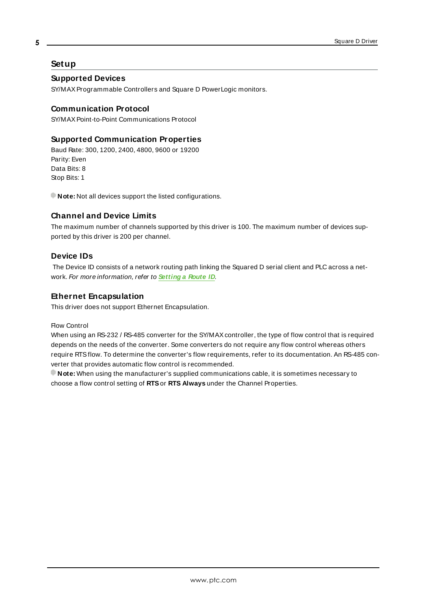# <span id="page-4-0"></span>**Setup**

# **Supported Devices**

SY/MAXProgrammable Controllers and Square D PowerLogic monitors.

# <span id="page-4-9"></span>**Communication Protocol**

SY/MAXPoint-to-Point Communications Protocol

# <span id="page-4-1"></span>**Supported Communication Properties**

<span id="page-4-8"></span><span id="page-4-6"></span><span id="page-4-2"></span>Baud Rate: 300, 1200, 2400, 4800, 9600 or 19200 Parity: Even Data Bits: 8 Stop Bits: 1

**Note:** Not all devices support the listed configurations.

# **Channel and Device Limits**

The maximum number of channels supported by this driver is 100. The maximum number of devices supported by this driver is 200 per channel.

# <span id="page-4-5"></span><span id="page-4-3"></span>**Device IDs**

The Device ID consists of a network routing path linking the Squared D serial client and PLC across a network. For more information, refer to **[Setting](#page-15-0) a Route ID**.

# **Ethernet Encapsulation**

<span id="page-4-4"></span>This driver does not support Ethernet Encapsulation.

#### <span id="page-4-7"></span>Flow Control

When using an RS-232 / RS-485 converter for the SY/MAX controller, the type of flow control that is required depends on the needs of the converter. Some converters do not require any flow control whereas others require RTSflow. To determine the converter's flow requirements, refer to its documentation. An RS-485 converter that provides automatic flow control is recommended.

**Note:** When using the manufacturer's supplied communications cable, it is sometimes necessary to choose a flow control setting of **RTS**or **RTS Always** under the Channel Properties.

**5**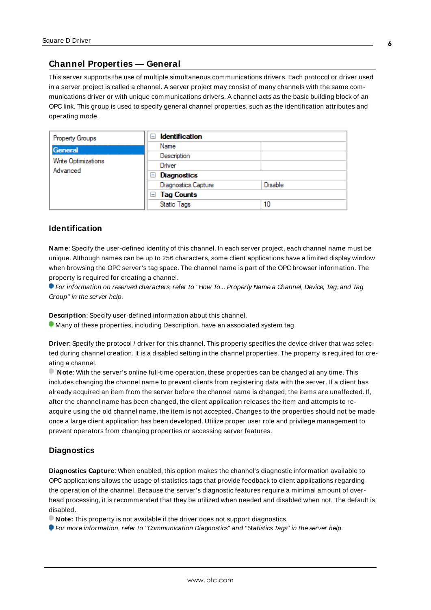# <span id="page-5-0"></span>**Channel Properties — General**

This server supports the use of multiple simultaneous communications drivers. Each protocol or driver used in a server project is called a channel. A server project may consist of many channels with the same communications driver or with unique communications drivers. A channel acts as the basic building block of an OPC link. This group is used to specify general channel properties, such as the identification attributes and operating mode.

| Property Groups                 | <b>Identification</b><br>н |                |
|---------------------------------|----------------------------|----------------|
| General                         | Name                       |                |
|                                 | Description                |                |
| Write Optimizations<br>Advanced | Driver                     |                |
|                                 | Diagnostics<br>ь           |                |
|                                 | <b>Diagnostics Capture</b> | <b>Disable</b> |
|                                 | $\Box$ Tag Counts          |                |
|                                 | <b>Static Tags</b>         | 10             |

#### <span id="page-5-2"></span>**Identification**

**Name**: Specify the user-defined identity of this channel. In each server project, each channel name must be unique. Although names can be up to 256 characters, some client applications have a limited display window when browsing the OPC server's tag space. The channel name is part of the OPC browser information. The property is required for creating a channel.

For information on reserved characters, refer to "How To... Properly Name a Channel, Device, Tag, and Tag Group" in the server help.

**Description**: Specify user-defined information about this channel.

Many of these properties, including Description, have an associated system tag.

**Driver**: Specify the protocol / driver for this channel. This property specifies the device driver that was selected during channel creation. It is a disabled setting in the channel properties. The property is required for creating a channel.

**Note**: With the server's online full-time operation, these properties can be changed at any time. This includes changing the channel name to prevent clients from registering data with the server. If a client has already acquired an item from the server before the channel name is changed, the items are unaffected. If, after the channel name has been changed, the client application releases the item and attempts to reacquire using the old channel name, the item is not accepted. Changes to the properties should not be made once a large client application has been developed. Utilize proper user role and privilege management to prevent operators from changing properties or accessing server features.

### <span id="page-5-1"></span>**Diagnostics**

**Diagnostics Capture**: When enabled, this option makes the channel's diagnostic information available to OPC applications allows the usage of statistics tags that provide feedback to client applications regarding the operation of the channel. Because the server's diagnostic features require a minimal amount of overhead processing, it is recommended that they be utilized when needed and disabled when not. The default is disabled.

**Note:** This property is not available if the driver does not support diagnostics.

**For more information, refer to "Communication Diagnostics" and "Statistics Tags" in the server help.**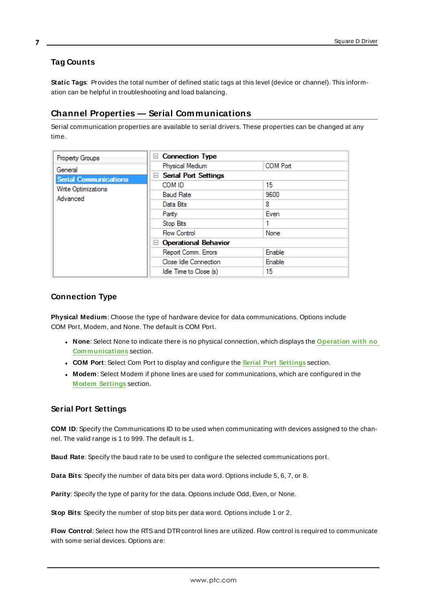# <span id="page-6-0"></span>**Tag Counts**

**Static Tags**: Provides the total number of defined static tags at this level (device or channel). This information can be helpful in troubleshooting and load balancing.

# <span id="page-6-1"></span>**Channel Properties — Serial Communications**

Serial communication properties are available to serial drivers. These properties can be changed at any time.

| Property Groups              | <b>Connection Type</b><br>н        |                 |
|------------------------------|------------------------------------|-----------------|
| General                      | Physical Medium                    | <b>COM Port</b> |
| <b>Serial Communications</b> | <b>Serial Port Settings</b><br>$=$ |                 |
| Write Optimizations          | COM ID                             | 15              |
| Advanced                     | <b>Baud Rate</b>                   | 9600            |
|                              | Data Bits                          | 8               |
|                              | Parity                             | Even            |
|                              | Stop Bits                          | 1               |
|                              | <b>Flow Control</b>                | None            |
|                              | <b>Operational Behavior</b><br>н   |                 |
|                              | Report Comm. Errors                | Enable          |
|                              | Close Idle Connection              | Enable          |
|                              | Idle Time to Close (s)             | 15              |

# <span id="page-6-9"></span><span id="page-6-5"></span>**Connection Type**

**Physical Medium**: Choose the type of hardware device for data communications. Options include COM Port, Modem, and None. The default is COM Port.

- <sup>l</sup> **None**: Select None to indicate there is no physical connection, which displays the **[Operation](#page-8-1) with no [Communications](#page-8-1)** section.
- <sup>l</sup> **COM Port**: Select Com Port to display and configure the **Serial Port [Settings](#page-6-2)** section.
- **Modem**: Select Modem if phone lines are used for communications, which are configured in the **Modem [Settings](#page-7-0)** section.

# <span id="page-6-4"></span><span id="page-6-2"></span>**Serial Port Settings**

**COM ID**: Specify the Communications ID to be used when communicating with devices assigned to the channel. The valid range is 1 to 999. The default is 1.

<span id="page-6-6"></span><span id="page-6-3"></span>**Baud Rate**: Specify the baud rate to be used to configure the selected communications port.

<span id="page-6-8"></span>**Data Bits**: Specify the number of data bits per data word. Options include 5, 6, 7, or 8.

<span id="page-6-10"></span>**Parity**: Specify the type of parity for the data. Options include Odd, Even, or None.

<span id="page-6-7"></span>**Stop Bits**: Specify the number of stop bits per data word. Options include 1 or 2.

**Flow Control**: Select how the RTSand DTRcontrol lines are utilized. Flow control is required to communicate with some serial devices. Options are: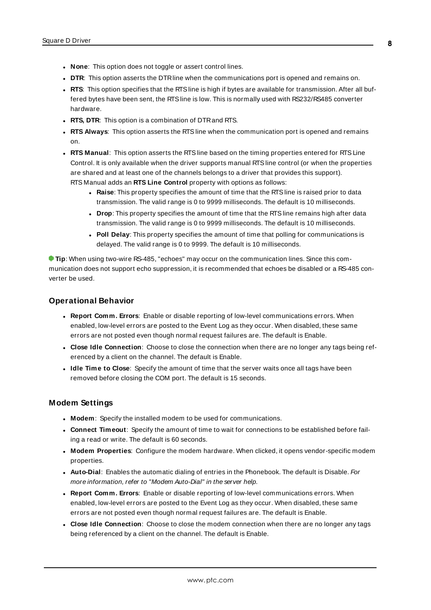- **None**: This option does not toggle or assert control lines.
- **DTR:** This option asserts the DTR line when the communications port is opened and remains on.
- RTS: This option specifies that the RTS line is high if bytes are available for transmission. After all buffered bytes have been sent, the RTSline is low. This is normally used with RS232/RS485 converter hardware.
- **RTS, DTR:** This option is a combination of DTR and RTS.
- <sup>l</sup> **RTS Always**: This option asserts the RTSline when the communication port is opened and remains on.
- <sup>l</sup> **RTS Manual**: This option asserts the RTSline based on the timing properties entered for RTSLine Control. It is only available when the driver supports manual RTSline control (or when the properties are shared and at least one of the channels belongs to a driver that provides this support). RTS Manual adds an **RTS Line Control** property with options as follows:
	- **Raise**: This property specifies the amount of time that the RTS line is raised prior to data transmission. The valid range is 0 to 9999 milliseconds. The default is 10 milliseconds.
	- **Drop**: This property specifies the amount of time that the RTS line remains high after data transmission. The valid range is 0 to 9999 milliseconds. The default is 10 milliseconds.
	- **Poll Delay**: This property specifies the amount of time that polling for communications is delayed. The valid range is 0 to 9999. The default is 10 milliseconds.

**Tip**: When using two-wire RS-485, "echoes" may occur on the communication lines. Since this communication does not support echo suppression, it is recommended that echoes be disabled or a RS-485 converter be used.

#### <span id="page-7-5"></span>**Operational Behavior**

- <span id="page-7-6"></span><sup>l</sup> **Report Comm. Errors**: Enable or disable reporting of low-level communications errors. When enabled, low-level errors are posted to the Event Log as they occur. When disabled, these same errors are not posted even though normal request failures are. The default is Enable.
- <span id="page-7-2"></span><sup>l</sup> **Close Idle Connection**: Choose to close the connection when there are no longer any tags being referenced by a client on the channel. The default is Enable.
- <span id="page-7-3"></span><sup>l</sup> **Idle Time to Close**: Specify the amount of time that the server waits once all tags have been removed before closing the COM port. The default is 15 seconds.

### <span id="page-7-0"></span>**Modem Settings**

- **Modem**: Specify the installed modem to be used for communications.
- <sup>l</sup> **Connect Timeout**: Specify the amount of time to wait for connections to be established before failing a read or write. The default is 60 seconds.
- <span id="page-7-4"></span><sup>l</sup> **Modem Properties**: Configure the modem hardware. When clicked, it opens vendor-specific modem properties.
- <span id="page-7-1"></span>**Auto-Dial**: Enables the automatic dialing of entries in the Phonebook. The default is Disable. For more information, refer to "Modem Auto-Dial" in the server help.
- <sup>l</sup> **Report Comm. Errors**: Enable or disable reporting of low-level communications errors. When enabled, low-level errors are posted to the Event Log as they occur. When disabled, these same errors are not posted even though normal request failures are. The default is Enable.
- **Close Idle Connection**: Choose to close the modem connection when there are no longer any tags being referenced by a client on the channel. The default is Enable.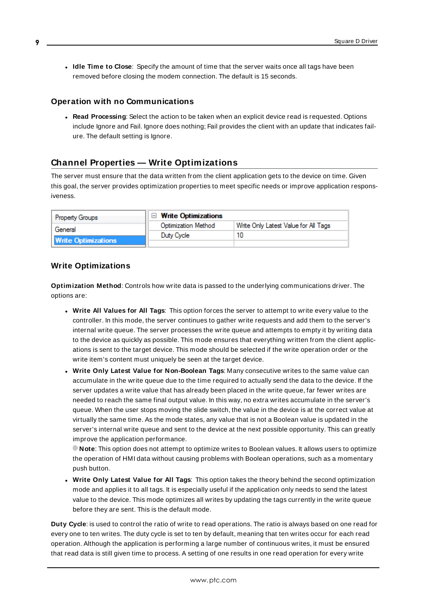<sup>l</sup> **Idle Time to Close**: Specify the amount of time that the server waits once all tags have been removed before closing the modem connection. The default is 15 seconds.

#### <span id="page-8-1"></span>**Operation with no Communications**

<span id="page-8-4"></span><sup>l</sup> **Read Processing**: Select the action to be taken when an explicit device read is requested. Options include Ignore and Fail. Ignore does nothing; Fail provides the client with an update that indicates failure. The default setting is Ignore.

# <span id="page-8-0"></span>**Channel Properties — Write Optimizations**

The server must ensure that the data written from the client application gets to the device on time. Given this goal, the server provides optimization properties to meet specific needs or improve application responsiveness.

| <b>Property Groups</b>     | $\Box$ Write Optimizations |                                      |
|----------------------------|----------------------------|--------------------------------------|
| General                    | <b>Optimization Method</b> | Write Only Latest Value for All Tags |
|                            | Duty Cycle                 |                                      |
| <b>Write Optimizations</b> |                            |                                      |

# <span id="page-8-3"></span><span id="page-8-2"></span>**Write Optimizations**

**Optimization Method**: Controls how write data is passed to the underlying communications driver. The options are:

- <span id="page-8-5"></span><sup>l</sup> **Write All Values for All Tags**: This option forces the server to attempt to write every value to the controller. In this mode, the server continues to gather write requests and add them to the server's internal write queue. The server processes the write queue and attempts to empty it by writing data to the device as quickly as possible. This mode ensures that everything written from the client applications is sent to the target device. This mode should be selected if the write operation order or the write item's content must uniquely be seen at the target device.
- <span id="page-8-7"></span><sup>l</sup> **Write Only Latest Value for Non-Boolean Tags**: Many consecutive writes to the same value can accumulate in the write queue due to the time required to actually send the data to the device. If the server updates a write value that has already been placed in the write queue, far fewer writes are needed to reach the same final output value. In this way, no extra writes accumulate in the server's queue. When the user stops moving the slide switch, the value in the device is at the correct value at virtually the same time. As the mode states, any value that is not a Boolean value is updated in the server's internal write queue and sent to the device at the next possible opportunity. This can greatly improve the application performance.

**Note**: This option does not attempt to optimize writes to Boolean values. It allows users to optimize the operation of HMI data without causing problems with Boolean operations, such as a momentary push button.

<span id="page-8-6"></span><sup>l</sup> **Write Only Latest Value for All Tags**: This option takes the theory behind the second optimization mode and applies it to all tags. It is especially useful if the application only needs to send the latest value to the device. This mode optimizes all writes by updating the tags currently in the write queue before they are sent. This is the default mode.

**Duty Cycle**: is used to control the ratio of write to read operations. The ratio is always based on one read for every one to ten writes. The duty cycle is set to ten by default, meaning that ten writes occur for each read operation. Although the application is performing a large number of continuous writes, it must be ensured that read data is still given time to process. A setting of one results in one read operation for every write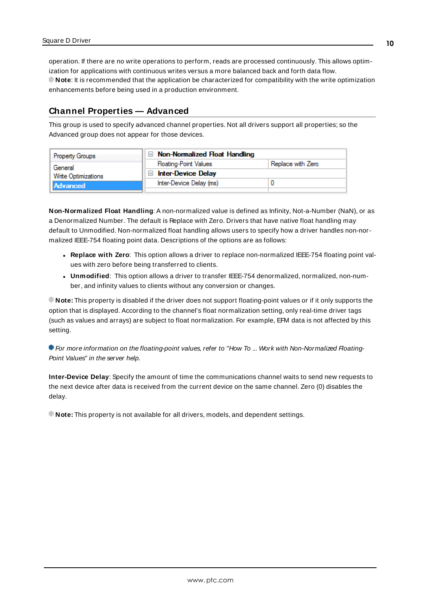<span id="page-9-1"></span>operation. If there are no write operations to perform, reads are processed continuously. This allows optimization for applications with continuous writes versus a more balanced back and forth data flow. **Note**: It is recommended that the application be characterized for compatibility with the write optimization enhancements before being used in a production environment.

# <span id="page-9-0"></span>**Channel Properties — Advanced**

This group is used to specify advanced channel properties. Not all drivers support all properties; so the Advanced group does not appear for those devices.

| Property Groups     | $\Box$ Non-Normalized Float Handling |                   |
|---------------------|--------------------------------------|-------------------|
| General             | <b>Floating-Point Values</b>         | Replace with Zero |
| Write Optimizations | <b>Inter-Device Delay</b>            |                   |
| <b>Advanced</b>     | Inter-Device Delay (ms)              |                   |
|                     |                                      |                   |

<span id="page-9-3"></span>**Non-Normalized Float Handling**: A non-normalized value is defined as Infinity, Not-a-Number (NaN), or as a Denormalized Number. The default is Replace with Zero. Drivers that have native float handling may default to Unmodified. Non-normalized float handling allows users to specify how a driver handles non-normalized IEEE-754 floating point data. Descriptions of the options are as follows:

- <span id="page-9-5"></span><span id="page-9-4"></span><sup>l</sup> **Replace with Zero**: This option allows a driver to replace non-normalized IEEE-754 floating point values with zero before being transferred to clients.
- <sup>l</sup> **Unmodified**: This option allows a driver to transfer IEEE-754 denormalized, normalized, non-number, and infinity values to clients without any conversion or changes.

**Note:** This property is disabled if the driver does not support floating-point values or if it only supports the option that is displayed. According to the channel's float normalization setting, only real-time driver tags (such as values and arrays) are subject to float normalization. For example, EFM data is not affected by this setting.

For more information on the floating-point values, refer to "How To ... Work with Non-Normalized Floating-Point Values" in the server help.

<span id="page-9-2"></span>**Inter-Device Delay**: Specify the amount of time the communications channel waits to send new requests to the next device after data is received from the current device on the same channel. Zero (0) disables the delay.

**Note:** This property is not available for all drivers, models, and dependent settings.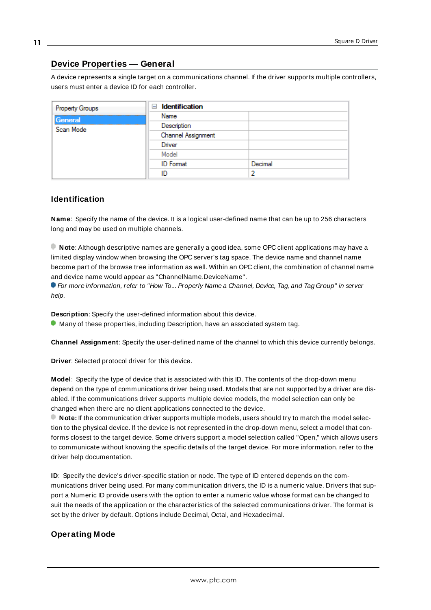# <span id="page-10-0"></span>**Device Properties — General**

A device represents a single target on a communications channel. If the driver supports multiple controllers, users must enter a device ID for each controller.

| Property Groups | <b>Identification</b><br>$-$ |         |
|-----------------|------------------------------|---------|
| General         | Name                         |         |
| Scan Mode       | Description                  |         |
|                 | Channel Assignment           |         |
|                 | Driver                       |         |
|                 | Model                        |         |
|                 | <b>ID</b> Format             | Decimal |
|                 | ID                           | 2       |

# <span id="page-10-7"></span><span id="page-10-5"></span>**Identification**

**Name**: Specify the name of the device. It is a logical user-defined name that can be up to 256 characters long and may be used on multiple channels.

**Note**: Although descriptive names are generally a good idea, some OPC client applications may have a limited display window when browsing the OPC server's tag space. The device name and channel name become part of the browse tree information as well. Within an OPC client, the combination of channel name and device name would appear as "ChannelName.DeviceName".

For more information, refer to "How To... Properly Name a Channel, Device, Tag, and Tag Group" in server help.

**Description**: Specify the user-defined information about this device.

<span id="page-10-2"></span>**Many of these properties, including Description, have an associated system tag.** 

<span id="page-10-3"></span>**Channel Assignment**: Specify the user-defined name of the channel to which this device currently belongs.

<span id="page-10-6"></span>**Driver**: Selected protocol driver for this device.

**Model**: Specify the type of device that is associated with this ID. The contents of the drop-down menu depend on the type of communications driver being used. Models that are not supported by a driver are disabled. If the communications driver supports multiple device models, the model selection can only be changed when there are no client applications connected to the device.

**Note:** If the communication driver supports multiple models, users should try to match the model selection to the physical device. If the device is not represented in the drop-down menu, select a model that conforms closest to the target device. Some drivers support a model selection called "Open," which allows users to communicate without knowing the specific details of the target device. For more information, refer to the driver help documentation.

<span id="page-10-4"></span>**ID**: Specify the device's driver-specific station or node. The type of ID entered depends on the communications driver being used. For many communication drivers, the ID is a numeric value. Drivers that support a Numeric ID provide users with the option to enter a numeric value whose format can be changed to suit the needs of the application or the characteristics of the selected communications driver. The format is set by the driver by default. Options include Decimal, Octal, and Hexadecimal.

### <span id="page-10-1"></span>**Operating Mode**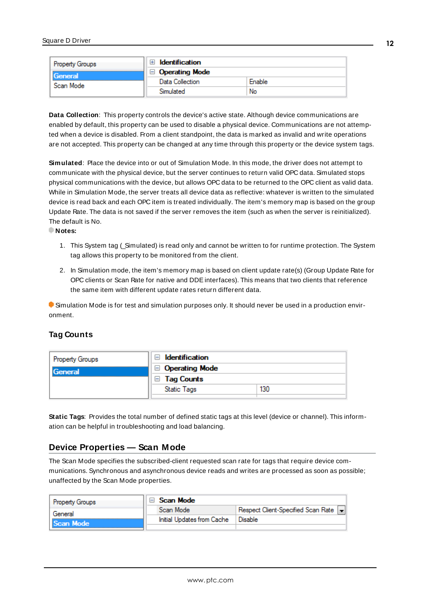| Property Groups | <b>Identification</b> |        |
|-----------------|-----------------------|--------|
| General         | <b>Operating Mode</b> |        |
| Scan Mode       | Data Collection       | Enable |
|                 | Simulated             | No     |

<span id="page-11-2"></span>**Data Collection**: This property controls the device's active state. Although device communications are enabled by default, this property can be used to disable a physical device. Communications are not attempted when a device is disabled. From a client standpoint, the data is marked as invalid and write operations are not accepted. This property can be changed at any time through this property or the device system tags.

<span id="page-11-3"></span>**Simulated**: Place the device into or out of Simulation Mode. In this mode, the driver does not attempt to communicate with the physical device, but the server continues to return valid OPC data. Simulated stops physical communications with the device, but allows OPC data to be returned to the OPC client as valid data. While in Simulation Mode, the server treats all device data as reflective: whatever is written to the simulated device is read back and each OPC item is treated individually. The item's memory map is based on the group Update Rate. The data is not saved if the server removes the item (such as when the server is reinitialized). The default is No.

**Notes:**

- 1. This System tag (\_Simulated) is read only and cannot be written to for runtime protection. The System tag allows this property to be monitored from the client.
- 2. In Simulation mode, the item's memory map is based on client update rate(s) (Group Update Rate for OPC clients or Scan Rate for native and DDEinterfaces). This means that two clients that reference the same item with different update rates return different data.

 Simulation Mode is for test and simulation purposes only. It should never be used in a production environment.

# <span id="page-11-0"></span>**Tag Counts**

| Property Groups | Identification<br>$\overline{ }$ |     |
|-----------------|----------------------------------|-----|
| <b>General</b>  | $\Box$ Operating Mode            |     |
|                 | <b>Tag Counts</b><br>ы           |     |
|                 | <b>Static Tags</b>               | 130 |
|                 |                                  |     |

**Static Tags**: Provides the total number of defined static tags at this level (device or channel). This information can be helpful in troubleshooting and load balancing.

# <span id="page-11-1"></span>**Device Properties — Scan Mode**

The Scan Mode specifies the subscribed-client requested scan rate for tags that require device communications. Synchronous and asynchronous device reads and writes are processed as soon as possible; unaffected by the Scan Mode properties.

| <b>Property Groups</b> | Scan Mode                  |                                       |
|------------------------|----------------------------|---------------------------------------|
| General                | Scan Mode                  | Respect Client-Specified Scan Rate  - |
| Scan Mode              | Initial Updates from Cache | Disable                               |
|                        |                            |                                       |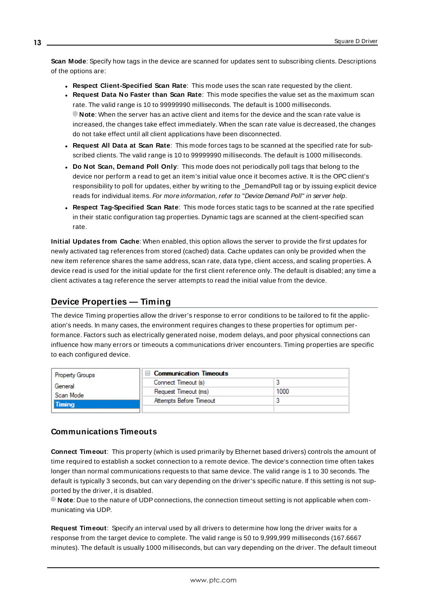<span id="page-12-6"></span>**Scan Mode**: Specify how tags in the device are scanned for updates sent to subscribing clients. Descriptions of the options are:

- <sup>l</sup> **Respect Client-Specified Scan Rate**: This mode uses the scan rate requested by the client.
- <sup>l</sup> **Request Data No Faster than Scan Rate**: This mode specifies the value set as the maximum scan rate. The valid range is 10 to 99999990 milliseconds. The default is 1000 milliseconds. **Note**: When the server has an active client and items for the device and the scan rate value is increased, the changes take effect immediately. When the scan rate value is decreased, the changes do not take effect until all client applications have been disconnected.
- <sup>l</sup> **Request All Data at Scan Rate**: This mode forces tags to be scanned at the specified rate for subscribed clients. The valid range is 10 to 99999990 milliseconds. The default is 1000 milliseconds.
- <span id="page-12-3"></span><sup>l</sup> **Do Not Scan, Demand Poll Only**: This mode does not periodically poll tags that belong to the device nor perform a read to get an item's initial value once it becomes active. It is the OPC client's responsibility to poll for updates, either by writing to the \_DemandPoll tag or by issuing explicit device reads for individual items. For more information, refer to "Device Demand Poll" in server help.
- <span id="page-12-5"></span><sup>l</sup> **Respect Tag-Specified Scan Rate**: This mode forces static tags to be scanned at the rate specified in their static configuration tag properties. Dynamic tags are scanned at the client-specified scan rate.

<span id="page-12-4"></span>**Initial Updates from Cache**: When enabled, this option allows the server to provide the first updates for newly activated tag references from stored (cached) data. Cache updates can only be provided when the new item reference shares the same address, scan rate, data type, client access, and scaling properties. A device read is used for the initial update for the first client reference only. The default is disabled; any time a client activates a tag reference the server attempts to read the initial value from the device.

# <span id="page-12-1"></span><span id="page-12-0"></span>**Device Properties — Timing**

The device Timing properties allow the driver's response to error conditions to be tailored to fit the application's needs. In many cases, the environment requires changes to these properties for optimum performance. Factors such as electrically generated noise, modem delays, and poor physical connections can influence how many errors or timeouts a communications driver encounters. Timing properties are specific to each configured device.

| Property Groups | □ Communication Timeouts |      |
|-----------------|--------------------------|------|
| General         | Connect Timeout (s)      |      |
| Scan Mode       | Request Timeout (ms)     | 1000 |
| Timing          | Attempts Before Timeout  |      |
|                 |                          |      |

# <span id="page-12-2"></span>**Communications Timeouts**

**Connect Timeout**: This property (which is used primarily by Ethernet based drivers) controls the amount of time required to establish a socket connection to a remote device. The device's connection time often takes longer than normal communications requests to that same device. The valid range is 1 to 30 seconds. The default is typically 3 seconds, but can vary depending on the driver's specific nature. If this setting is not supported by the driver, it is disabled.

**Note**: Due to the nature of UDPconnections, the connection timeout setting is not applicable when communicating via UDP.

**Request Timeout**: Specify an interval used by all drivers to determine how long the driver waits for a response from the target device to complete. The valid range is 50 to 9,999,999 milliseconds (167.6667 minutes). The default is usually 1000 milliseconds, but can vary depending on the driver. The default timeout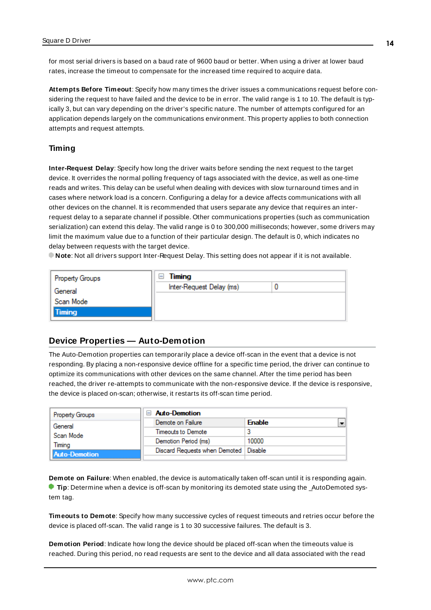<span id="page-13-3"></span>for most serial drivers is based on a baud rate of 9600 baud or better. When using a driver at lower baud rates, increase the timeout to compensate for the increased time required to acquire data.

<span id="page-13-1"></span>**Attempts Before Timeout**: Specify how many times the driver issues a communications request before considering the request to have failed and the device to be in error. The valid range is 1 to 10. The default is typically 3, but can vary depending on the driver's specific nature. The number of attempts configured for an application depends largely on the communications environment. This property applies to both connection attempts and request attempts.

### **Timing**

**Inter-Request Delay**: Specify how long the driver waits before sending the next request to the target device. It overrides the normal polling frequency of tags associated with the device, as well as one-time reads and writes. This delay can be useful when dealing with devices with slow turnaround times and in cases where network load is a concern. Configuring a delay for a device affects communications with all other devices on the channel. It is recommended that users separate any device that requires an interrequest delay to a separate channel if possible. Other communications properties (such as communication serialization) can extend this delay. The valid range is 0 to 300,000 milliseconds; however, some drivers may limit the maximum value due to a function of their particular design. The default is 0, which indicates no delay between requests with the target device.

**Note**: Not all drivers support Inter-Request Delay. This setting does not appear if it is not available.

| <b>Property Groups</b> | Timing<br>ь              |  |
|------------------------|--------------------------|--|
| General                | Inter-Request Delay (ms) |  |
| Scan Mode              |                          |  |
| <b>Timing</b>          |                          |  |

# <span id="page-13-0"></span>**Device Properties — Auto-Demotion**

The Auto-Demotion properties can temporarily place a device off-scan in the event that a device is not responding. By placing a non-responsive device offline for a specific time period, the driver can continue to optimize its communications with other devices on the same channel. After the time period has been reached, the driver re-attempts to communicate with the non-responsive device. If the device is responsive, the device is placed on-scan; otherwise, it restarts its off-scan time period.

| <b>Property Groups</b> | $\Box$ Auto-Demotion                    |               |
|------------------------|-----------------------------------------|---------------|
| General                | Demote on Failure                       | <b>Enable</b> |
| Scan Mode              | Timeouts to Demote                      |               |
| Timina                 | Demotion Period (ms)                    | 10000         |
| Auto-Demotion          | Discard Requests when Demoted   Disable |               |
|                        |                                         |               |

<span id="page-13-2"></span>**Demote on Failure**: When enabled, the device is automatically taken off-scan until it is responding again. **Tip:** Determine when a device is off-scan by monitoring its demoted state using the \_AutoDemoted system tag.

<span id="page-13-4"></span>**Timeouts to Demote**: Specify how many successive cycles of request timeouts and retries occur before the device is placed off-scan. The valid range is 1 to 30 successive failures. The default is 3.

**Demotion Period**: Indicate how long the device should be placed off-scan when the timeouts value is reached. During this period, no read requests are sent to the device and all data associated with the read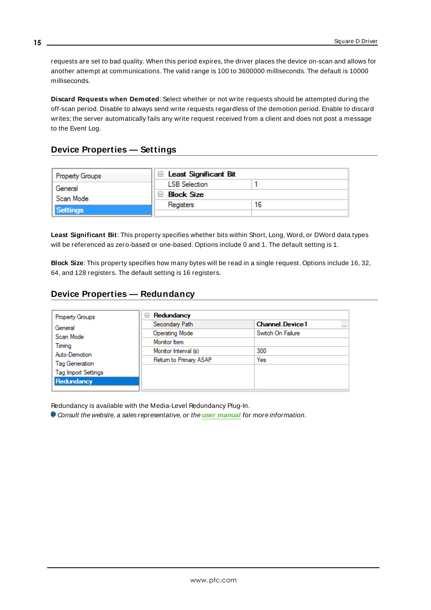<span id="page-14-3"></span>requests are set to bad quality. When this period expires, the driver places the device on-scan and allows for another attempt at communications. The valid range is 100 to 3600000 milliseconds. The default is 10000 milliseconds.

<span id="page-14-4"></span>**Discard Requests when Demoted**: Select whether or not write requests should be attempted during the off-scan period. Disable to always send write requests regardless of the demotion period. Enable to discard writes; the server automatically fails any write request received from a client and does not post a message to the Event Log.

# <span id="page-14-0"></span>**Device Properties — Settings**

| Property Groups | □ Least Significant Bit |    |
|-----------------|-------------------------|----|
| General         | <b>LSB</b> Selection    |    |
| Scan Mode       | Block Size              |    |
|                 | Registers               | 16 |
| <b>Settings</b> |                         |    |

<span id="page-14-5"></span>**Least Significant Bit**: This property specifies whether bits within Short, Long, Word, or DWord data types will be referenced as zero-based or one-based. Options include 0 and 1. The default setting is 1.

<span id="page-14-2"></span>**Block Size**: This property specifies how many bytes will be read in a single request. Options include 16, 32, 64, and 128 registers. The default setting is 16 registers.

# <span id="page-14-1"></span>**Device Properties — Redundancy**

| <b>Property Groups</b>     | Redundancy<br>$=$      |                                    |
|----------------------------|------------------------|------------------------------------|
| General                    | Secondary Path         | <b>Channel Device1</b><br>$\cdots$ |
| Scan Mode                  | <b>Operating Mode</b>  | Switch On Failure                  |
| Timing                     | Monitor Item           |                                    |
| Auto-Demotion              | Monitor Interval (s)   | 300                                |
| Tag Generation             | Return to Primary ASAP | Yes                                |
| <b>Tag Import Settings</b> |                        |                                    |
| Redundancy                 |                        |                                    |

Redundancy is available with the Media-Level Redundancy Plug-In.

Consult the website, a sales representative, or the **user [manual](https://www.kepware.com/getattachment/35461efd-b53a-4219-a109-a89fad20b230/media-level-redundancy-manual.pdf)** for more information.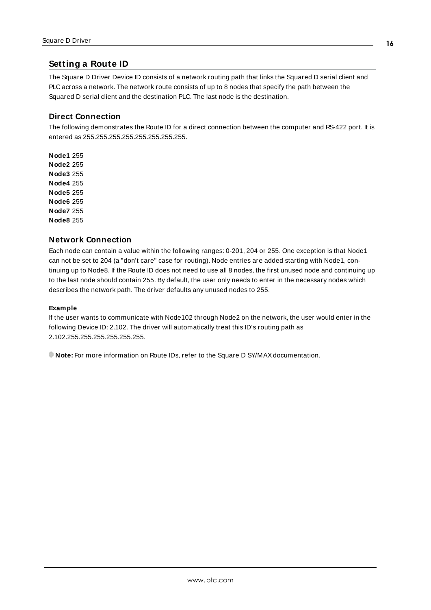# <span id="page-15-0"></span>**Setting a Route ID**

The Square D Driver Device ID consists of a network routing path that links the Squared D serial client and PLC across a network. The network route consists of up to 8 nodes that specify the path between the Squared D serial client and the destination PLC. The last node is the destination.

# <span id="page-15-1"></span>**Direct Connection**

The following demonstrates the Route ID for a direct connection between the computer and RS-422 port. It is entered as 255.255.255.255.255.255.255.255.

**Node1** 255 **Node2** 255 **Node3** 255 **Node4** 255 **Node5** 255 **Node6** 255 **Node7** 255 **Node8** 255

# <span id="page-15-3"></span><span id="page-15-2"></span>**Network Connection**

Each node can contain a value within the following ranges: 0-201, 204 or 255. One exception is that Node1 can not be set to 204 (a "don't care" case for routing). Node entries are added starting with Node1, continuing up to Node8. If the Route ID does not need to use all 8 nodes, the first unused node and continuing up to the last node should contain 255. By default, the user only needs to enter in the necessary nodes which describes the network path. The driver defaults any unused nodes to 255.

#### **Example**

If the user wants to communicate with Node102 through Node2 on the network, the user would enter in the following Device ID: 2.102. The driver will automatically treat this ID's routing path as 2.102.255.255.255.255.255.255.

**Note:** For more information on Route IDs, refer to the Square D SY/MAXdocumentation.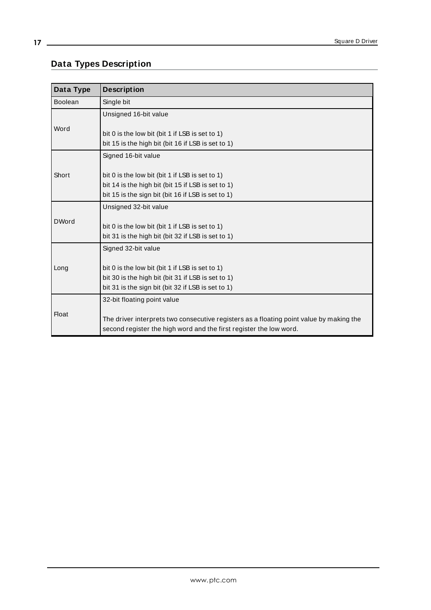# <span id="page-16-0"></span>**Data Types Description**

<span id="page-16-6"></span><span id="page-16-5"></span><span id="page-16-4"></span><span id="page-16-3"></span><span id="page-16-2"></span><span id="page-16-1"></span>

| Data Type      | <b>Description</b>                                                                      |
|----------------|-----------------------------------------------------------------------------------------|
| <b>Boolean</b> | Single bit                                                                              |
| Word           | Unsigned 16-bit value                                                                   |
|                |                                                                                         |
|                | bit 0 is the low bit (bit 1 if LSB is set to 1)                                         |
|                | bit 15 is the high bit (bit 16 if LSB is set to 1)                                      |
|                | Signed 16-bit value                                                                     |
| Short          |                                                                                         |
|                | bit 0 is the low bit (bit 1 if LSB is set to 1)                                         |
|                | bit 14 is the high bit (bit 15 if LSB is set to 1)                                      |
|                | bit 15 is the sign bit (bit 16 if LSB is set to 1)                                      |
|                | Unsigned 32-bit value                                                                   |
| <b>DWord</b>   |                                                                                         |
|                | bit 0 is the low bit (bit 1 if LSB is set to 1)                                         |
|                | bit 31 is the high bit (bit 32 if LSB is set to 1)                                      |
|                | Signed 32-bit value                                                                     |
| Long           |                                                                                         |
|                | bit 0 is the low bit (bit 1 if LSB is set to 1)                                         |
|                | bit 30 is the high bit (bit 31 if LSB is set to 1)                                      |
|                | bit 31 is the sign bit (bit 32 if LSB is set to 1)                                      |
|                | 32-bit floating point value                                                             |
| <b>Float</b>   |                                                                                         |
|                | The driver interprets two consecutive registers as a floating point value by making the |
|                | second register the high word and the first register the low word.                      |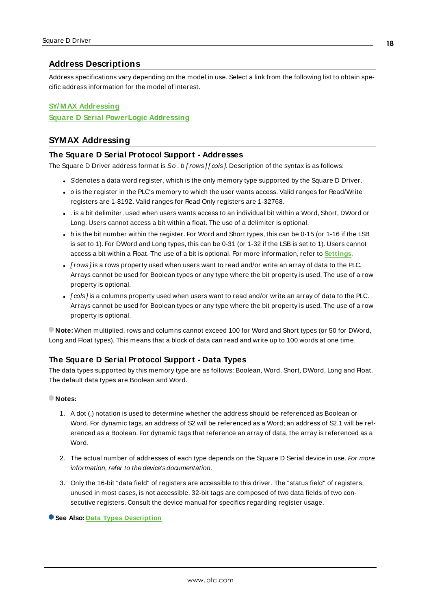# <span id="page-17-0"></span>**Address Descriptions**

Address specifications vary depending on the model in use. Select a link from the following list to obtain specific address information for the model of interest.

# **SY/ M AX [Addressing](#page-17-1)**

<span id="page-17-1"></span>**Square D Serial [PowerLogic](#page-18-0) Addressing**

# <span id="page-17-2"></span>**SYMAX Addressing**

### **The Square D Serial Protocol Support - Addresses**

The Square D Driver address format is So. b [rows][ $\omega$ ls]. Description of the syntax is as follows:

- Sdenotes a data word register, which is the only memory type supported by the Square D Driver.
- o is the register in the PLC's memory to which the user wants access. Valid ranges for Read/Write registers are 1-8192. Valid ranges for Read Only registers are 1-32768.
- is a bit delimiter, used when users wants access to an individual bit within a Word, Short, DWord or Long. Users cannot access a bit within a float. The use of a delimiter is optional.
- $\bullet$  b is the bit number within the register. For Word and Short types, this can be 0-15 (or 1-16 if the LSB is set to 1). For DWord and Long types, this can be 0-31 (or 1-32 if the LSB is set to 1). Users cannot access a bit within a Float. The use of a bit is optional. For more information, refer to **[Settings](#page-14-0)**.
- $\bullet$  [rows] is a rows property used when users want to read and/or write an array of data to the PLC. Arrays cannot be used for Boolean types or any type where the bit property is used. The use of a row property is optional.
- $\cdot$  [cols ] is a columns property used when users want to read and/or write an array of data to the PLC. Arrays cannot be used for Boolean types or any type where the bit property is used. The use of a row property is optional.

**Note:** When multiplied, rows and columns cannot exceed 100 for Word and Short types (or 50 for DWord, Long and Float types). This means that a block of data can read and write up to 100 words at one time.

### <span id="page-17-3"></span>**The Square D Serial Protocol Support - Data Types**

The data types supported by this memory type are as follows: Boolean, Word, Short, DWord, Long and Float. The default data types are Boolean and Word.

#### **Notes:**

- 1. A dot (.) notation is used to determine whether the address should be referenced as Boolean or Word. For dynamic tags, an address of S2 will be referenced as a Word; an address of S2.1 will be referenced as a Boolean. For dynamic tags that reference an array of data, the array is referenced as a Word.
- 2. The actual number of addresses of each type depends on the Square D Serial device in use. For more information, refer to the device's documentation.
- 3. Only the 16-bit "data field" of registers are accessible to this driver. The "status field" of registers, unused in most cases, is not accessible. 32-bit tags are composed of two data fields of two consecutive registers. Consult the device manual for specifics regarding register usage.

#### **See Also: Data Types [Description](#page-16-0)**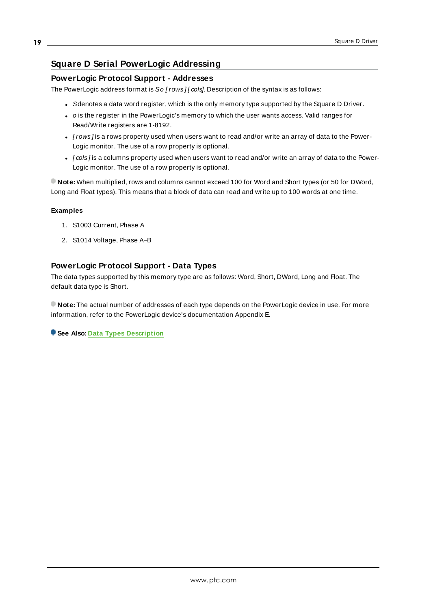# <span id="page-18-0"></span>**Square D Serial PowerLogic Addressing**

# **PowerLogic Protocol Support - Addresses**

The PowerLogic address format is So [rows][ $\omega$ ls]. Description of the syntax is as follows:

- Sdenotes a data word register, which is the only memory type supported by the Square D Driver.
- o is the register in the PowerLogic's memory to which the user wants access. Valid ranges for Read/Write registers are 1-8192.
- [rows] is a rows property used when users want to read and/or write an array of data to the Power-Logic monitor. The use of a row property is optional.
- $\cdot$  [cols] is a columns property used when users want to read and/or write an array of data to the Power-Logic monitor. The use of a row property is optional.

**Note:** When multiplied, rows and columns cannot exceed 100 for Word and Short types (or 50 for DWord, Long and Float types). This means that a block of data can read and write up to 100 words at one time.

#### **Examples**

- 1. S1003 Current, Phase A
- 2. S1014 Voltage, Phase A–B

# **PowerLogic Protocol Support - Data Types**

The data types supported by this memory type are as follows: Word, Short, DWord, Long and Float. The default data type is Short.

**Note:** The actual number of addresses of each type depends on the PowerLogic device in use. For more information, refer to the PowerLogic device's documentation Appendix E.

**See Also: Data Types [Description](#page-16-0)**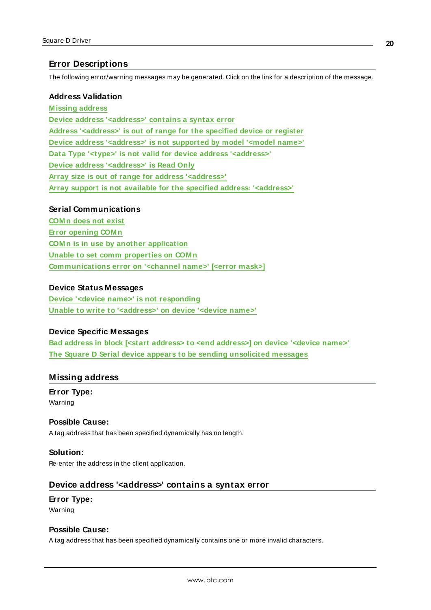# <span id="page-19-0"></span>**Error Descriptions**

The following error/warning messages may be generated. Click on the link for a description of the message.

#### **Address Validation**

**[M issing](#page-19-1) address Device address ['<address>'](#page-19-2) contains a syntax error Address ['<address>'](#page-20-0) is out of range for the specified device or register Device address ['<address>'](#page-20-1) is not supported by model '<model name>' Data Type '<type>' is not valid for device address ['<address>'](#page-20-2) Device address ['<address>'](#page-20-3) is Read Only Array size is out of range for address ['<address>'](#page-21-0) Array support is not available for the specified address: ['<address>'](#page-21-1)**

## **Serial Communications**

**[COM n](#page-21-2) does not exist Error [opening](#page-21-3) COM n COM n is in use by another [application](#page-21-4) Unable to set comm [properties](#page-22-0) on COM n [Communications](#page-22-1) error on '<channel name>' [<error mask>]**

#### **Device Status Messages**

**Device '<device name>' is not [responding](#page-22-2) Unable to write to ['<address>'](#page-23-0) on device '<device name>'**

#### **Device Specific Messages**

**Bad address in block [<start address> to <end [address>\]](#page-23-1) on device '<device name>' The Square D Serial device appears to be sending [unsolicited](#page-24-0) messages**

## <span id="page-19-1"></span>**Missing address**

**Error Type:** Warning

### **Possible Cause:**

A tag address that has been specified dynamically has no length.

#### **Solution:**

<span id="page-19-2"></span>Re-enter the address in the client application.

### **Device address '<address>' contains a syntax error**

### **Error Type:** Warning

#### **Possible Cause:**

A tag address that has been specified dynamically contains one or more invalid characters.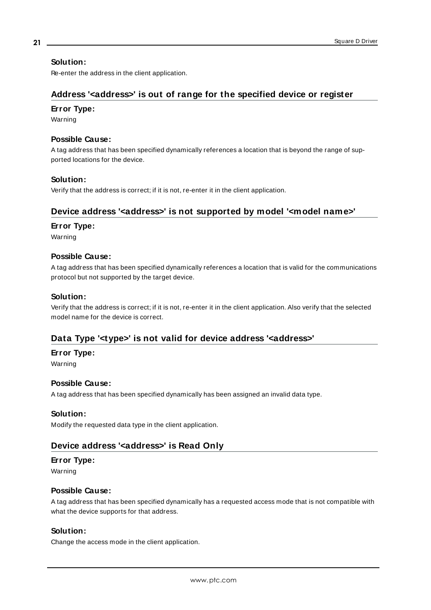### **Solution:**

<span id="page-20-0"></span>Re-enter the address in the client application.

# **Address '<address>' is out of range for the specified device or register**

#### **Error Type:**

Warning

# **Possible Cause:**

A tag address that has been specified dynamically references a location that is beyond the range of supported locations for the device.

#### **Solution:**

<span id="page-20-1"></span>Verify that the address is correct; if it is not, re-enter it in the client application.

# **Device address '<address>' is not supported by model '<model name>'**

#### **Error Type:**

Warning

#### **Possible Cause:**

A tag address that has been specified dynamically references a location that is valid for the communications protocol but not supported by the target device.

#### **Solution:**

Verify that the address is correct; if it is not, re-enter it in the client application. Also verify that the selected model name for the device is correct.

# <span id="page-20-2"></span>**Data Type '<type>' is not valid for device address '<address>'**

#### **Error Type:**

Warning

#### **Possible Cause:**

A tag address that has been specified dynamically has been assigned an invalid data type.

#### **Solution:**

<span id="page-20-3"></span>Modify the requested data type in the client application.

# **Device address '<address>' is Read Only**

#### **Error Type:**

Warning

### **Possible Cause:**

A tag address that has been specified dynamically has a requested access mode that is not compatible with what the device supports for that address.

#### **Solution:**

Change the access mode in the client application.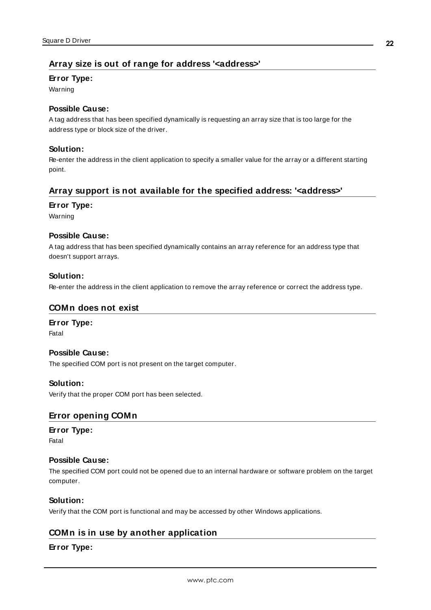# <span id="page-21-0"></span>**Array size is out of range for address '<address>'**

# **Error Type:**

Warning

# **Possible Cause:**

A tag address that has been specified dynamically is requesting an array size that is too large for the address type or block size of the driver.

# **Solution:**

Re-enter the address in the client application to specify a smaller value for the array or a different starting point.

# <span id="page-21-1"></span>**Array support is not available for the specified address: '<address>'**

### **Error Type:**

Warning

# **Possible Cause:**

A tag address that has been specified dynamically contains an array reference for an address type that doesn't support arrays.

# **Solution:**

<span id="page-21-2"></span>Re-enter the address in the client application to remove the array reference or correct the address type.

# **COMn does not exist**

# **Error Type:**

Fatal

## **Possible Cause:**

The specified COM port is not present on the target computer.

### **Solution:**

<span id="page-21-3"></span>Verify that the proper COM port has been selected.

# **Error opening COMn**

# **Error Type:**

Fatal

# **Possible Cause:**

The specified COM port could not be opened due to an internal hardware or software problem on the target computer.

### **Solution:**

<span id="page-21-4"></span>Verify that the COM port is functional and may be accessed by other Windows applications.

# **COMn is in use by another application**

### **Error Type:**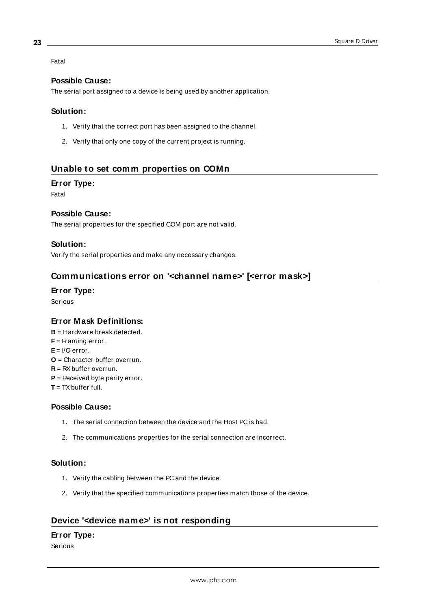Fatal

# **Possible Cause:**

The serial port assigned to a device is being used by another application.

### **Solution:**

- 1. Verify that the correct port has been assigned to the channel.
- 2. Verify that only one copy of the current project is running.

# <span id="page-22-0"></span>**Unable to set comm properties on COMn**

### **Error Type:**

Fatal

# **Possible Cause:**

The serial properties for the specified COM port are not valid.

### **Solution:**

<span id="page-22-1"></span>Verify the serial properties and make any necessary changes.

# **Communications error on '<channel name>' [<error mask>]**

#### **Error Type:** Serious

# **Error Mask Definitions:**

- <span id="page-22-3"></span>**B** = Hardware break detected. **F** = Framing error. **E**= I/O error.
- <span id="page-22-4"></span>**O** = Character buffer overrun.
- <span id="page-22-5"></span>**R** = RXbuffer overrun.
- **P** = Received byte parity error.
- $T = TX$  buffer full.

### **Possible Cause:**

- 1. The serial connection between the device and the Host PC is bad.
- 2. The communications properties for the serial connection are incorrect.

### **Solution:**

- 1. Verify the cabling between the PC and the device.
- 2. Verify that the specified communications properties match those of the device.

# <span id="page-22-2"></span>**Device '<device name>' is not responding**

### **Error Type:**

Serious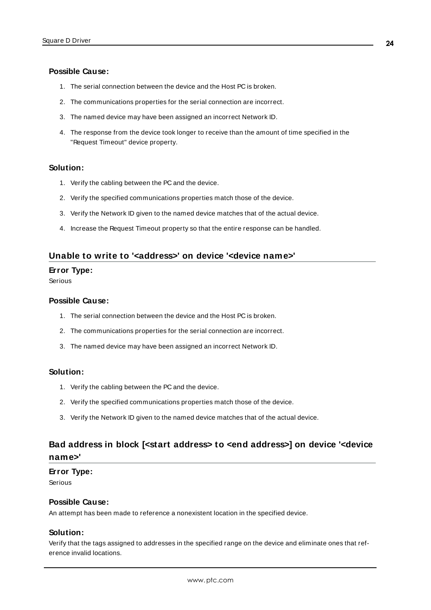### **Possible Cause:**

- 1. The serial connection between the device and the Host PC is broken.
- 2. The communications properties for the serial connection are incorrect.
- 3. The named device may have been assigned an incorrect Network ID.
- 4. The response from the device took longer to receive than the amount of time specified in the "Request Timeout" device property.

#### **Solution:**

- 1. Verify the cabling between the PC and the device.
- 2. Verify the specified communications properties match those of the device.
- 3. Verify the Network ID given to the named device matches that of the actual device.
- 4. Increase the Request Timeout property so that the entire response can be handled.

### <span id="page-23-0"></span>**Unable to write to '<address>' on device '<device name>'**

#### **Error Type:**

Serious

#### **Possible Cause:**

- 1. The serial connection between the device and the Host PC is broken.
- 2. The communications properties for the serial connection are incorrect.
- 3. The named device may have been assigned an incorrect Network ID.

#### **Solution:**

- 1. Verify the cabling between the PC and the device.
- 2. Verify the specified communications properties match those of the device.
- 3. Verify the Network ID given to the named device matches that of the actual device.

# <span id="page-23-1"></span>**Bad address in block [<start address> to <end address>] on device '<device name>'**

#### **Error Type:**

Serious

#### **Possible Cause:**

An attempt has been made to reference a nonexistent location in the specified device.

### **Solution:**

Verify that the tags assigned to addresses in the specified range on the device and eliminate ones that reference invalid locations.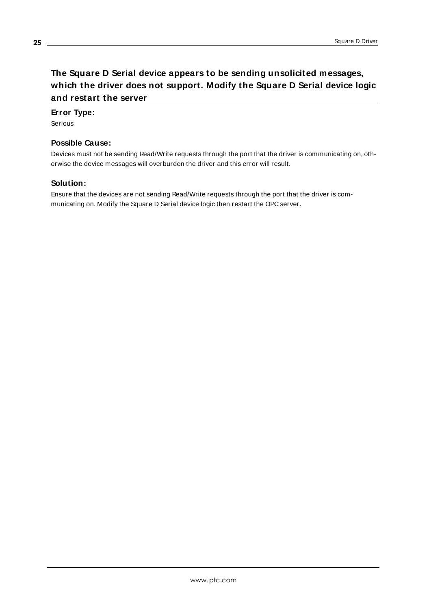# <span id="page-24-0"></span>**The Square D Serial device appears to be sending unsolicited messages, which the driver does not support. Modify the Square D Serial device logic and restart the server**

# **Error Type:**

Serious

# **Possible Cause:**

Devices must not be sending Read/Write requests through the port that the driver is communicating on, otherwise the device messages will overburden the driver and this error will result.

#### **Solution:**

Ensure that the devices are not sending Read/Write requests through the port that the driver is communicating on. Modify the Square D Serial device logic then restart the OPC server.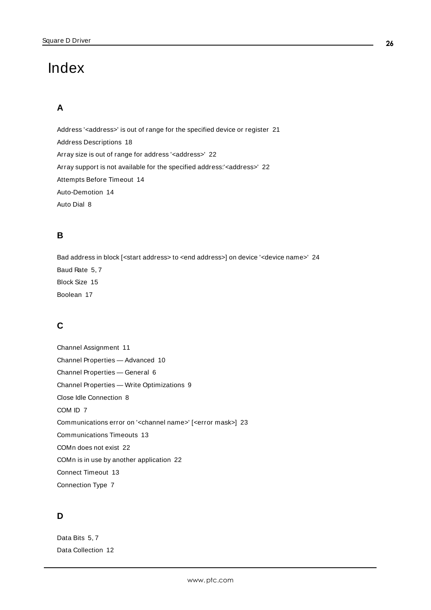# <span id="page-25-0"></span>Index

# **A**

Address '<address>' is out of range for the specified device or register [21](#page-20-0) Address Descriptions [18](#page-17-0) Array size is out of range for address '<address>' [22](#page-21-0) Array support is not available for the specified address:'<address>' [22](#page-21-1) Attempts Before Timeout [14](#page-13-1) Auto-Demotion [14](#page-13-0) Auto Dial [8](#page-7-1)

# **B**

Bad address in block [<start address> to <end address>] on device '<device name>' [24](#page-23-1) Baud Rate [5](#page-4-1), [7](#page-6-3) Block Size [15](#page-14-2) Boolean [17](#page-16-1)

# **C**

Channel Assignment [11](#page-10-2) Channel Properties — Advanced [10](#page-9-0) Channel Properties — General [6](#page-5-0) Channel Properties — Write Optimizations [9](#page-8-2) Close Idle Connection [8](#page-7-2) COM ID [7](#page-6-4) Communications error on '<channel name>' [<error mask>] [23](#page-22-1) Communications Timeouts [13](#page-12-1) COMn does not exist [22](#page-21-2) COMn is in use by another application [22](#page-21-4) Connect Timeout [13](#page-12-2) Connection Type [7](#page-6-5)

# **D**

Data Bits [5,](#page-4-2) [7](#page-6-6) Data Collection [12](#page-11-2)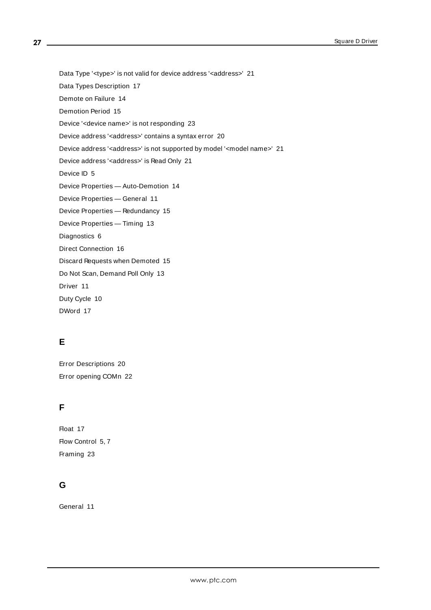Data Type '<type>' is not valid for device address '<aaddress>' [21](#page-20-2)

Data Types Description [17](#page-16-0)

Demote on Failure [14](#page-13-2)

Demotion Period [15](#page-14-3)

Device '<device name>' is not responding [23](#page-22-2)

Device address '<address>' contains a syntax error [20](#page-19-2)

Device address '<address>' is not supported by model '<model name>' [21](#page-20-1)

Device address '<address>' is Read Only [21](#page-20-3)

Device ID [5](#page-4-3)

Device Properties — Auto-Demotion [14](#page-13-0)

Device Properties — General [11](#page-10-0)

Device Properties — Redundancy [15](#page-14-1)

Device Properties — Timing [13](#page-12-0)

Diagnostics [6](#page-5-1)

Direct Connection [16](#page-15-1)

Discard Requests when Demoted [15](#page-14-4)

Do Not Scan, Demand Poll Only [13](#page-12-3)

Driver [11](#page-10-3)

Duty Cycle [10](#page-9-1)

DWord [17](#page-16-2)

# **E**

Error Descriptions [20](#page-19-0) Error opening COMn [22](#page-21-3)

# **F**

Float [17](#page-16-3) Flow Control [5](#page-4-4), [7](#page-6-7) Framing [23](#page-22-3)

# **G**

General [11](#page-10-0)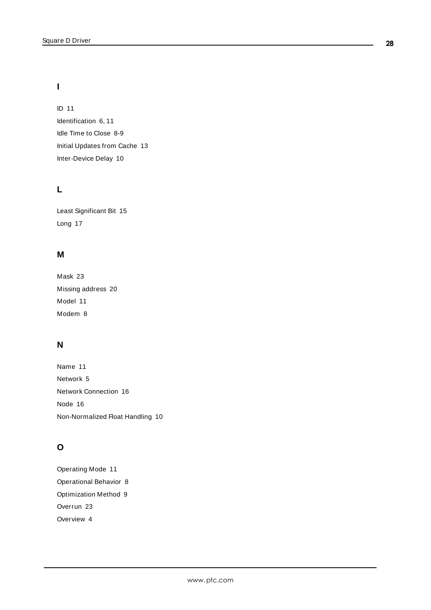# **I**

ID [11](#page-10-4) Identification [6](#page-5-2), [11](#page-10-5) Idle Time to Close [8-9](#page-7-3) Initial Updates from Cache [13](#page-12-4) Inter-Device Delay [10](#page-9-2)

# **L**

Least Significant Bit [15](#page-14-5) Long [17](#page-16-4)

# **M**

Mask [23](#page-22-1) Missing address [20](#page-19-1) Model [11](#page-10-6) Modem [8](#page-7-4)

# **N**

Name [11](#page-10-7) Network [5](#page-4-5) Network Connection [16](#page-15-2) Node [16](#page-15-3) Non-Normalized Float Handling [10](#page-9-3)

# **O**

Operating Mode [11](#page-10-1) Operational Behavior [8](#page-7-5) Optimization Method [9](#page-8-3) Overrun [23](#page-22-4) Overview [4](#page-3-1)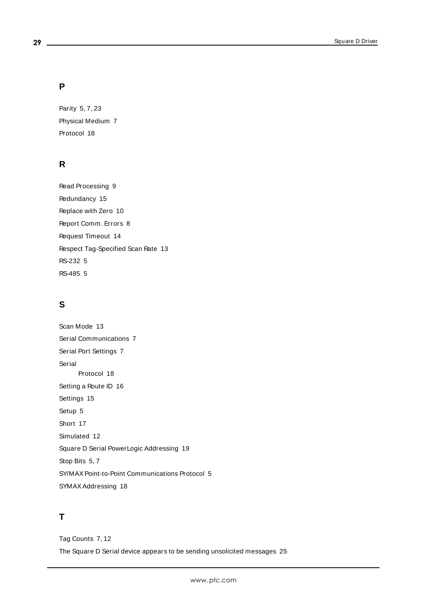# **P**

Parity [5,](#page-4-6) [7](#page-6-8), [23](#page-22-5) Physical Medium [7](#page-6-9) Protocol [18](#page-17-2)

# **R**

Read Processing [9](#page-8-4) Redundancy [15](#page-14-1) Replace with Zero [10](#page-9-4) Report Comm. Errors [8](#page-7-6) Request Timeout [14](#page-13-3) Respect Tag-Specified Scan Rate [13](#page-12-5) RS-232 [5](#page-4-7) RS-485 [5](#page-4-7)

# **S**

Scan Mode [13](#page-12-6) Serial Communications [7](#page-6-1) Serial Port Settings [7](#page-6-2) Serial Protocol [18](#page-17-3) Setting a Route ID [16](#page-15-0) Settings [15](#page-14-0) Setup [5](#page-4-0) Short [17](#page-16-5) Simulated [12](#page-11-3) Square D Serial PowerLogic Addressing [19](#page-18-0) Stop Bits [5](#page-4-8), [7](#page-6-10) SY/MAX Point-to-Point Communications Protocol [5](#page-4-9) SYMAX Addressing [18](#page-17-1)

# **T**

Tag Counts [7,](#page-6-0) [12](#page-11-0) The Square D Serial device appears to be sending unsolicited messages [25](#page-24-0)